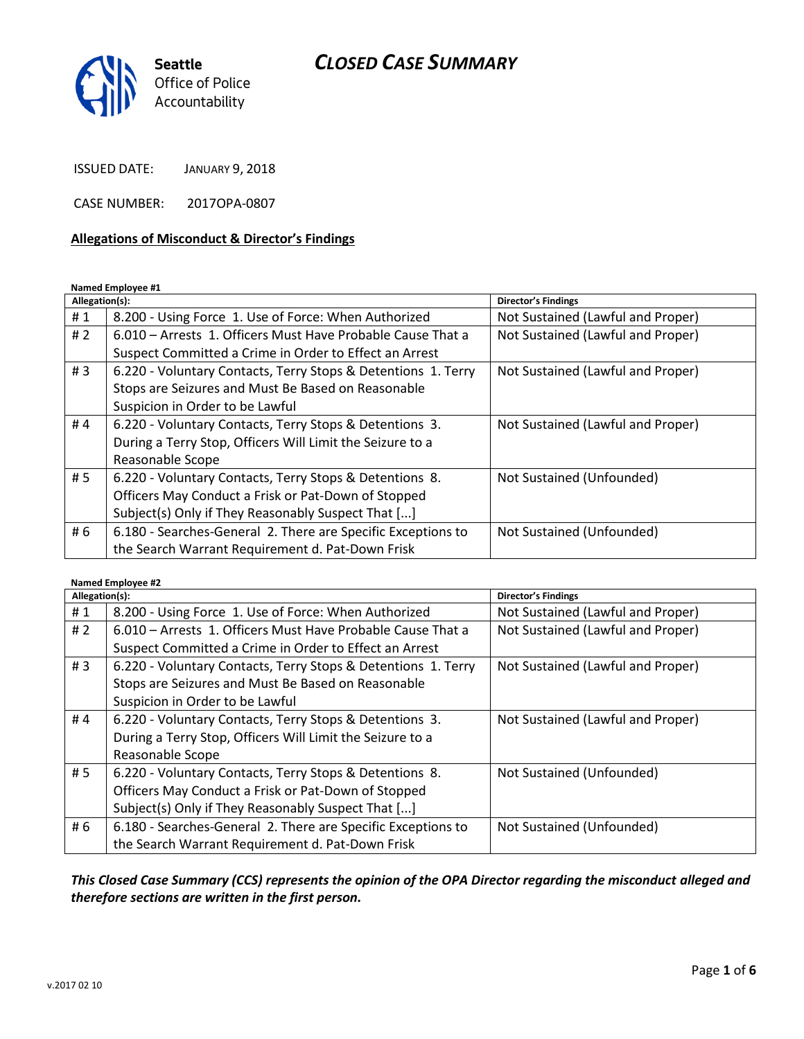

ISSUED DATE: JANUARY 9, 2018

CASE NUMBER: 2017OPA-0807

### **Allegations of Misconduct & Director's Findings**

#### **Named Employee #1**

| Allegation(s): |                                                               | Director's Findings               |
|----------------|---------------------------------------------------------------|-----------------------------------|
| #1             | 8.200 - Using Force 1. Use of Force: When Authorized          | Not Sustained (Lawful and Proper) |
| #2             | 6.010 – Arrests 1. Officers Must Have Probable Cause That a   | Not Sustained (Lawful and Proper) |
|                | Suspect Committed a Crime in Order to Effect an Arrest        |                                   |
| #3             | 6.220 - Voluntary Contacts, Terry Stops & Detentions 1. Terry | Not Sustained (Lawful and Proper) |
|                | Stops are Seizures and Must Be Based on Reasonable            |                                   |
|                | Suspicion in Order to be Lawful                               |                                   |
| #4             | 6.220 - Voluntary Contacts, Terry Stops & Detentions 3.       | Not Sustained (Lawful and Proper) |
|                | During a Terry Stop, Officers Will Limit the Seizure to a     |                                   |
|                | Reasonable Scope                                              |                                   |
| #5             | 6.220 - Voluntary Contacts, Terry Stops & Detentions 8.       | Not Sustained (Unfounded)         |
|                | Officers May Conduct a Frisk or Pat-Down of Stopped           |                                   |
|                | Subject(s) Only if They Reasonably Suspect That []            |                                   |
| # 6            | 6.180 - Searches-General 2. There are Specific Exceptions to  | Not Sustained (Unfounded)         |
|                | the Search Warrant Requirement d. Pat-Down Frisk              |                                   |

#### **Named Employee #2**

| Allegation(s): |                                                               | Director's Findings               |
|----------------|---------------------------------------------------------------|-----------------------------------|
| #1             | 8.200 - Using Force 1. Use of Force: When Authorized          | Not Sustained (Lawful and Proper) |
| #2             | 6.010 - Arrests 1. Officers Must Have Probable Cause That a   | Not Sustained (Lawful and Proper) |
|                | Suspect Committed a Crime in Order to Effect an Arrest        |                                   |
| #3             | 6.220 - Voluntary Contacts, Terry Stops & Detentions 1. Terry | Not Sustained (Lawful and Proper) |
|                | Stops are Seizures and Must Be Based on Reasonable            |                                   |
|                | Suspicion in Order to be Lawful                               |                                   |
| #4             | 6.220 - Voluntary Contacts, Terry Stops & Detentions 3.       | Not Sustained (Lawful and Proper) |
|                | During a Terry Stop, Officers Will Limit the Seizure to a     |                                   |
|                | Reasonable Scope                                              |                                   |
| #5             | 6.220 - Voluntary Contacts, Terry Stops & Detentions 8.       | Not Sustained (Unfounded)         |
|                | Officers May Conduct a Frisk or Pat-Down of Stopped           |                                   |
|                | Subject(s) Only if They Reasonably Suspect That []            |                                   |
| # 6            | 6.180 - Searches-General 2. There are Specific Exceptions to  | Not Sustained (Unfounded)         |
|                | the Search Warrant Requirement d. Pat-Down Frisk              |                                   |

# *This Closed Case Summary (CCS) represents the opinion of the OPA Director regarding the misconduct alleged and therefore sections are written in the first person.*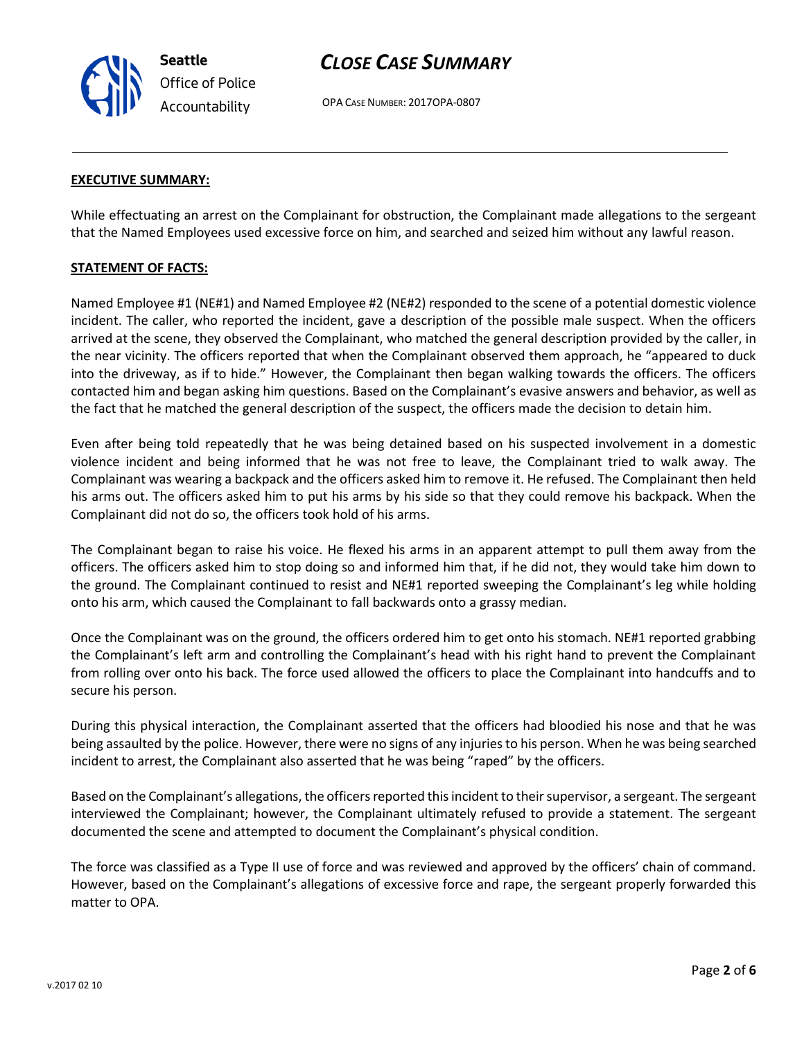v.2017 02 10

**Seattle** *Office of Police Accountability*

# *CLOSE CASE SUMMARY*

OPA CASE NUMBER: 2017OPA-0807

## **EXECUTIVE SUMMARY:**

While effectuating an arrest on the Complainant for obstruction, the Complainant made allegations to the sergeant that the Named Employees used excessive force on him, and searched and seized him without any lawful reason.

## **STATEMENT OF FACTS:**

Named Employee #1 (NE#1) and Named Employee #2 (NE#2) responded to the scene of a potential domestic violence incident. The caller, who reported the incident, gave a description of the possible male suspect. When the officers arrived at the scene, they observed the Complainant, who matched the general description provided by the caller, in the near vicinity. The officers reported that when the Complainant observed them approach, he "appeared to duck into the driveway, as if to hide." However, the Complainant then began walking towards the officers. The officers contacted him and began asking him questions. Based on the Complainant's evasive answers and behavior, as well as the fact that he matched the general description of the suspect, the officers made the decision to detain him.

Even after being told repeatedly that he was being detained based on his suspected involvement in a domestic violence incident and being informed that he was not free to leave, the Complainant tried to walk away. The Complainant was wearing a backpack and the officers asked him to remove it. He refused. The Complainant then held his arms out. The officers asked him to put his arms by his side so that they could remove his backpack. When the Complainant did not do so, the officers took hold of his arms.

The Complainant began to raise his voice. He flexed his arms in an apparent attempt to pull them away from the officers. The officers asked him to stop doing so and informed him that, if he did not, they would take him down to the ground. The Complainant continued to resist and NE#1 reported sweeping the Complainant's leg while holding onto his arm, which caused the Complainant to fall backwards onto a grassy median.

Once the Complainant was on the ground, the officers ordered him to get onto his stomach. NE#1 reported grabbing the Complainant's left arm and controlling the Complainant's head with his right hand to prevent the Complainant from rolling over onto his back. The force used allowed the officers to place the Complainant into handcuffs and to secure his person.

During this physical interaction, the Complainant asserted that the officers had bloodied his nose and that he was being assaulted by the police. However, there were no signs of any injuries to his person. When he was being searched incident to arrest, the Complainant also asserted that he was being "raped" by the officers.

Based on the Complainant's allegations, the officers reported this incident to their supervisor, a sergeant. The sergeant interviewed the Complainant; however, the Complainant ultimately refused to provide a statement. The sergeant documented the scene and attempted to document the Complainant's physical condition.

The force was classified as a Type II use of force and was reviewed and approved by the officers' chain of command. However, based on the Complainant's allegations of excessive force and rape, the sergeant properly forwarded this matter to OPA.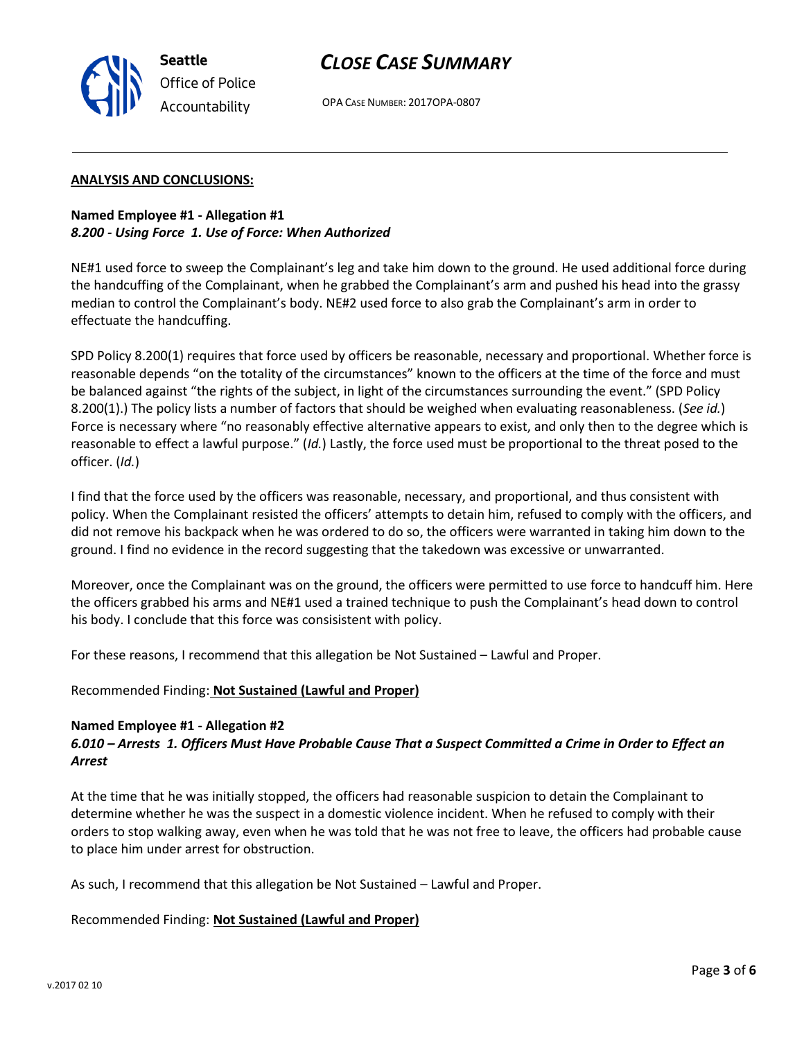

OPA CASE NUMBER: 2017OPA-0807

## **ANALYSIS AND CONCLUSIONS:**

# **Named Employee #1 - Allegation #1** *8.200 - Using Force 1. Use of Force: When Authorized*

NE#1 used force to sweep the Complainant's leg and take him down to the ground. He used additional force during the handcuffing of the Complainant, when he grabbed the Complainant's arm and pushed his head into the grassy median to control the Complainant's body. NE#2 used force to also grab the Complainant's arm in order to effectuate the handcuffing.

SPD Policy 8.200(1) requires that force used by officers be reasonable, necessary and proportional. Whether force is reasonable depends "on the totality of the circumstances" known to the officers at the time of the force and must be balanced against "the rights of the subject, in light of the circumstances surrounding the event." (SPD Policy 8.200(1).) The policy lists a number of factors that should be weighed when evaluating reasonableness. (*See id.*) Force is necessary where "no reasonably effective alternative appears to exist, and only then to the degree which is reasonable to effect a lawful purpose." (*Id.*) Lastly, the force used must be proportional to the threat posed to the officer. (*Id.*)

I find that the force used by the officers was reasonable, necessary, and proportional, and thus consistent with policy. When the Complainant resisted the officers' attempts to detain him, refused to comply with the officers, and did not remove his backpack when he was ordered to do so, the officers were warranted in taking him down to the ground. I find no evidence in the record suggesting that the takedown was excessive or unwarranted.

Moreover, once the Complainant was on the ground, the officers were permitted to use force to handcuff him. Here the officers grabbed his arms and NE#1 used a trained technique to push the Complainant's head down to control his body. I conclude that this force was consisistent with policy.

For these reasons, I recommend that this allegation be Not Sustained – Lawful and Proper.

Recommended Finding: **Not Sustained (Lawful and Proper)**

# **Named Employee #1 - Allegation #2**

# *6.010 – Arrests 1. Officers Must Have Probable Cause That a Suspect Committed a Crime in Order to Effect an Arrest*

At the time that he was initially stopped, the officers had reasonable suspicion to detain the Complainant to determine whether he was the suspect in a domestic violence incident. When he refused to comply with their orders to stop walking away, even when he was told that he was not free to leave, the officers had probable cause to place him under arrest for obstruction.

As such, I recommend that this allegation be Not Sustained – Lawful and Proper.

# Recommended Finding: **Not Sustained (Lawful and Proper)**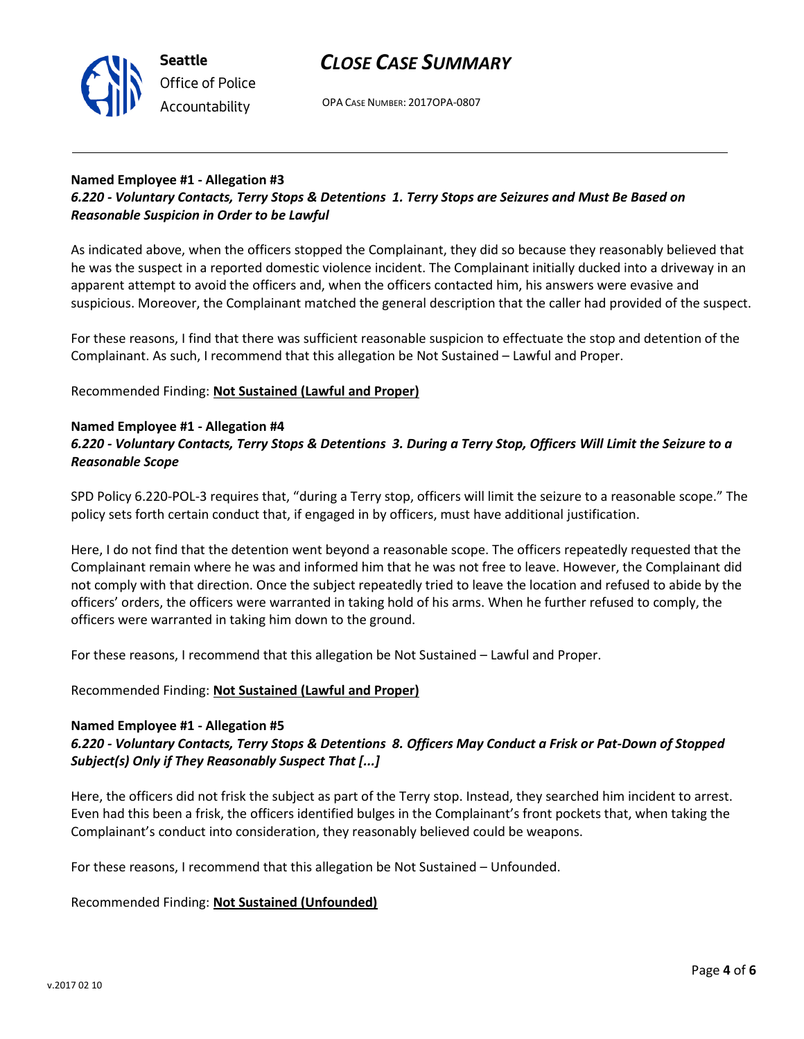

OPA CASE NUMBER: 2017OPA-0807

# **Named Employee #1 - Allegation #3**

*6.220 - Voluntary Contacts, Terry Stops & Detentions 1. Terry Stops are Seizures and Must Be Based on Reasonable Suspicion in Order to be Lawful*

As indicated above, when the officers stopped the Complainant, they did so because they reasonably believed that he was the suspect in a reported domestic violence incident. The Complainant initially ducked into a driveway in an apparent attempt to avoid the officers and, when the officers contacted him, his answers were evasive and suspicious. Moreover, the Complainant matched the general description that the caller had provided of the suspect.

For these reasons, I find that there was sufficient reasonable suspicion to effectuate the stop and detention of the Complainant. As such, I recommend that this allegation be Not Sustained – Lawful and Proper.

Recommended Finding: **Not Sustained (Lawful and Proper)**

## **Named Employee #1 - Allegation #4**

# *6.220 - Voluntary Contacts, Terry Stops & Detentions 3. During a Terry Stop, Officers Will Limit the Seizure to a Reasonable Scope*

SPD Policy 6.220-POL-3 requires that, "during a Terry stop, officers will limit the seizure to a reasonable scope." The policy sets forth certain conduct that, if engaged in by officers, must have additional justification.

Here, I do not find that the detention went beyond a reasonable scope. The officers repeatedly requested that the Complainant remain where he was and informed him that he was not free to leave. However, the Complainant did not comply with that direction. Once the subject repeatedly tried to leave the location and refused to abide by the officers' orders, the officers were warranted in taking hold of his arms. When he further refused to comply, the officers were warranted in taking him down to the ground.

For these reasons, I recommend that this allegation be Not Sustained – Lawful and Proper.

Recommended Finding: **Not Sustained (Lawful and Proper)**

#### **Named Employee #1 - Allegation #5**

# *6.220 - Voluntary Contacts, Terry Stops & Detentions 8. Officers May Conduct a Frisk or Pat-Down of Stopped Subject(s) Only if They Reasonably Suspect That [...]*

Here, the officers did not frisk the subject as part of the Terry stop. Instead, they searched him incident to arrest. Even had this been a frisk, the officers identified bulges in the Complainant's front pockets that, when taking the Complainant's conduct into consideration, they reasonably believed could be weapons.

For these reasons, I recommend that this allegation be Not Sustained – Unfounded.

Recommended Finding: **Not Sustained (Unfounded)**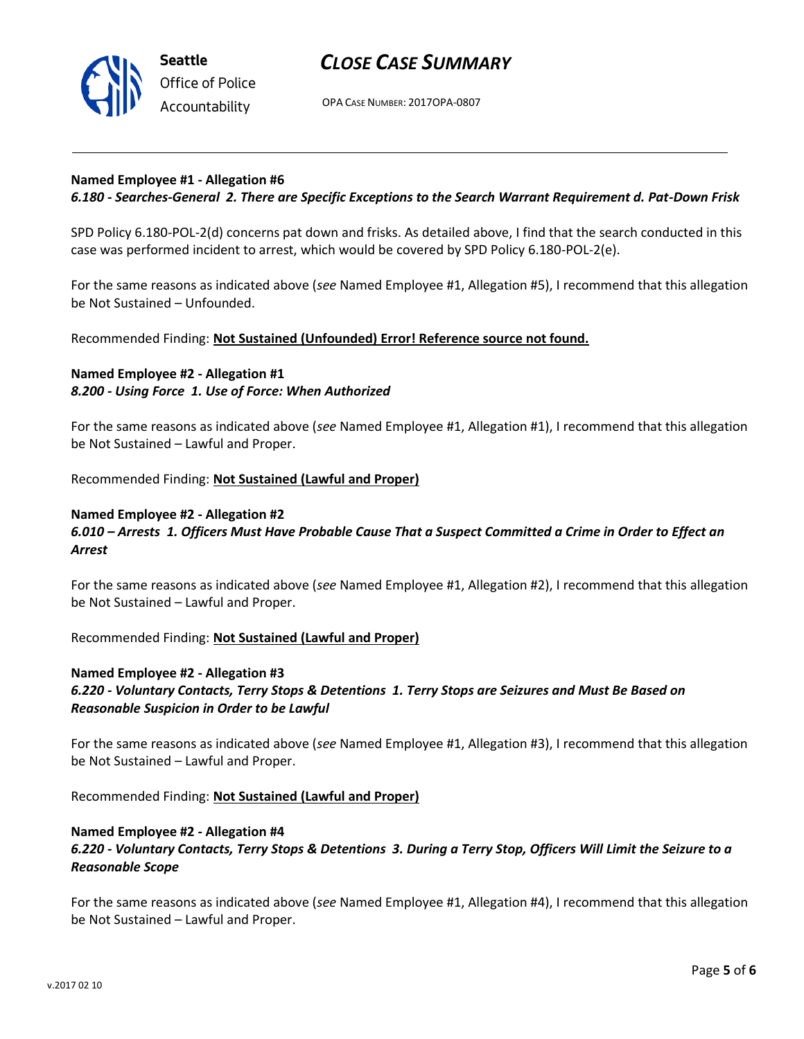

OPA CASE NUMBER: 2017OPA-0807

## **Named Employee #1 - Allegation #6**

### *6.180 - Searches-General 2. There are Specific Exceptions to the Search Warrant Requirement d. Pat-Down Frisk*

SPD Policy 6.180-POL-2(d) concerns pat down and frisks. As detailed above, I find that the search conducted in this case was performed incident to arrest, which would be covered by SPD Policy 6.180-POL-2(e).

For the same reasons as indicated above (*see* Named Employee #1, Allegation #5), I recommend that this allegation be Not Sustained – Unfounded.

Recommended Finding: **Not Sustained (Unfounded) Error! Reference source not found.**

## **Named Employee #2 - Allegation #1** *8.200 - Using Force 1. Use of Force: When Authorized*

For the same reasons as indicated above (*see* Named Employee #1, Allegation #1), I recommend that this allegation be Not Sustained – Lawful and Proper.

Recommended Finding: **Not Sustained (Lawful and Proper)**

#### **Named Employee #2 - Allegation #2**

## *6.010 – Arrests 1. Officers Must Have Probable Cause That a Suspect Committed a Crime in Order to Effect an Arrest*

For the same reasons as indicated above (*see* Named Employee #1, Allegation #2), I recommend that this allegation be Not Sustained – Lawful and Proper.

Recommended Finding: **Not Sustained (Lawful and Proper)**

#### **Named Employee #2 - Allegation #3**

*6.220 - Voluntary Contacts, Terry Stops & Detentions 1. Terry Stops are Seizures and Must Be Based on Reasonable Suspicion in Order to be Lawful*

For the same reasons as indicated above (*see* Named Employee #1, Allegation #3), I recommend that this allegation be Not Sustained – Lawful and Proper.

Recommended Finding: **Not Sustained (Lawful and Proper)**

#### **Named Employee #2 - Allegation #4**

# *6.220 - Voluntary Contacts, Terry Stops & Detentions 3. During a Terry Stop, Officers Will Limit the Seizure to a Reasonable Scope*

For the same reasons as indicated above (*see* Named Employee #1, Allegation #4), I recommend that this allegation be Not Sustained – Lawful and Proper.